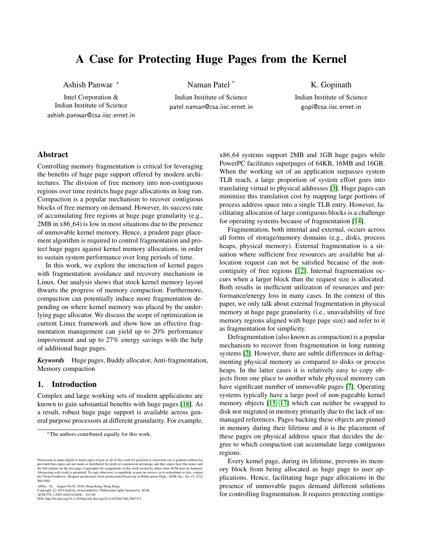# <span id="page-0-0"></span>A Case for Protecting Huge Pages from the Kernel

Ashish Panwar <sup>∗</sup>

Intel Corporation & Indian Institute of Science ashish.panwar@csa.iisc.ernet.in Naman Patel \*

Indian Institute of Science patel.naman@csa.iisc.ernet.in

K. Gopinath Indian Institute of Science gopi@csa.iisc.ernet.in

## Abstract

Controlling memory fragmentation is critical for leveraging the benefits of huge page support offered by modern architectures. The division of free memory into non-contiguous regions over time restricts huge page allocations in long run. Compaction is a popular mechanism to recover contiguous blocks of free memory on demand. However, its success rate of accumulating free regions at huge page granularity (e.g., 2MB in x86<sub>-64</sub>) is low in most situations due to the presence of unmovable kernel memory. Hence, a prudent page placement algorithm is required to control fragmentation and protect huge pages against kernel memory allocations, in order to sustain system performance over long periods of time.

In this work, we explore the interaction of kernel pages with fragmentation avoidance and recovery mechanism in Linux. Our analysis shows that stock kernel memory layout thwarts the progress of memory compaction. Furthermore, compaction can potentially induce more fragmentation depending on where kernel memory was placed by the underlying page allocator. We discuss the scope of optimization in current Linux framework and show how an effective fragmentation management can yield up to 20% performance improvement and up to 27% energy savings with the help of additional huge pages.

*Keywords* Huge pages, Buddy allocator, Anti-fragmentation, Memory compaction

# 1. Introduction

Complex and large working sets of modern applications are known to gain substantial benefits with huge pages [\[18\]](#page-6-0). As a result, robust huge page support is available across general purpose processors at different granularity. For example,

APSys '16, August 04-05, 2016, Hong Kong, Hong Kong<br>Copyright © 2016 held by owner/author(s). Publication rights licensed to ACM.<br>ACM 978-1-4503-4265-0/16/08. . . \$15.00

DOI: http://dx.doi.org/10.1145/http://dx.doi.org/10.1145/2967360.2967371

x86 64 systems support 2MB and 1GB huge pages while PowerPC facilitates superpages of 64KB, 16MB and 16GB. When the working set of an application surpasses system TLB reach, a large proportion of system effort goes into translating virtual to physical addresses [\[3\]](#page-6-1). Huge pages can minimize this translation cost by mapping large portions of process address space into a single TLB entry. However, facilitating allocation of large contiguous blocks is a challenge for operating systems because of fragmentation [\[14\]](#page-6-2).

Fragmentation, both internal and external, occurs across all forms of storage/memory domains (e.g., disks, process heaps, physical memory). External fragmentation is a situation where sufficient free resources are available but allocation request can not be satisfied because of the noncontiguity of free regions [\[12\]](#page-6-3). Internal fragmentation occurs when a larger block than the request size is allocated. Both results in inefficient utilization of resources and performance/energy loss in many cases. In the context of this paper, we only talk about external fragmentation in physical memory at huge page granularity (i.e., unavailability of free memory regions aligned with huge page size) and refer to it as fragmentation for simplicity.

Defragmentation (also known as compaction) is a popular mechanism to recover from fragmentation in long running systems [\[2\]](#page-6-4). However, there are subtle differences in defragmenting physical memory as compared to disks or process heaps. In the latter cases it is relatively easy to copy objects from one place to another while physical memory can have significant number of unmovable pages [\[7\]](#page-6-5). Operating systems typically have a large pool of non-pageable kernel memory objects [\[15,](#page-6-6) [17\]](#page-6-7) which can neither be swapped to disk nor migrated in memory primarily due to the lack of unmanaged references. Pages backing these objects are pinned in memory during their lifetime and it is the placement of these pages on physical address space that decides the degree to which compaction can accumulate large contiguous regions.

Every kernel page, during its lifetime, prevents its memory block from being allocated as huge page to user applications. Hence, facilitating huge page allocations in the presence of unmovable pages demand different solutions for controlling fragmentation. It requires protecting contigu-

<sup>∗</sup>The authors contributed equally for this work.

sion to make digital or hard copies of part or all of this work for personal or classroom use is granted without fee provided that copies are not made or distributed for profit or commercial advantage and that copies bear this notice and the full citation on the first page. Copyrights for components of this work owned by others than ACM must be honored.<br>Abstracting with credit is permitted. To copy otherwise, to republish, to post on servers, or to redistr 869-0481.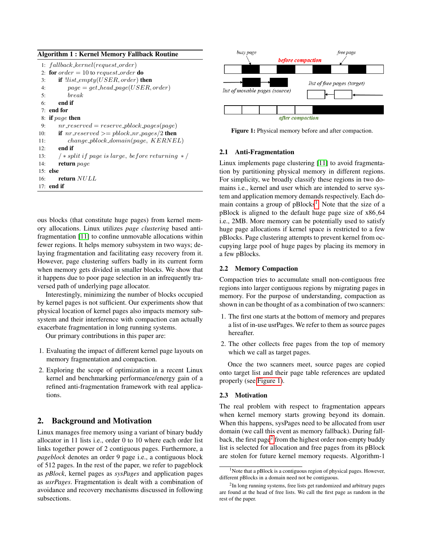| Algorithm 1: Kernel Memory Fallback Routine |                                                              |  |
|---------------------------------------------|--------------------------------------------------------------|--|
|                                             | 1: $fallback\_kernel(request\_order)$                        |  |
|                                             | 2: for $order = 10$ to request_order do                      |  |
| 3:                                          | if $llist\_empty(USER, order)$ then                          |  |
| 4:                                          | $page = get\_head\_page(USER, order)$                        |  |
| 5:                                          | break                                                        |  |
| 6:                                          | end if                                                       |  |
|                                             | $7:$ end for                                                 |  |
|                                             | 8: if page then                                              |  |
| 9:                                          | $nr\_reserve = reserve\_pblock\_pages(page)$                 |  |
| 10:                                         | <b>if</b> $nr\_reserved \geq pblock\_nr\_pages/2$ then       |  |
| 11:                                         | $change\_pblock\_domain(page, KERNEL)$                       |  |
| 12:                                         | end if                                                       |  |
| 13:                                         | $\frac{1}{2}$ * split if page is large, before returning * / |  |
| 14:                                         | return page                                                  |  |
|                                             | $15:$ else                                                   |  |
| 16:                                         | return NULL                                                  |  |
|                                             | $17:$ end if                                                 |  |

ous blocks (that constitute huge pages) from kernel memory allocations. Linux utilizes *page clustering* based antifragmentation [\[11\]](#page-6-8) to confine unmovable allocations within fewer regions. It helps memory subsystem in two ways; delaying fragmentation and facilitating easy recovery from it. However, page clustering suffers badly in its current form when memory gets divided in smaller blocks. We show that it happens due to poor page selection in an infrequently traversed path of underlying page allocator.

Interestingly, minimizing the number of blocks occupied by kernel pages is not sufficient. Our experiments show that physical location of kernel pages also impacts memory subsystem and their interference with compaction can actually exacerbate fragmentation in long running systems.

Our primary contributions in this paper are:

- 1. Evaluating the impact of different kernel page layouts on memory fragmentation and compaction.
- 2. Exploring the scope of optimization in a recent Linux kernel and benchmarking performance/energy gain of a refined anti-fragmentation framework with real applications.

## 2. Background and Motivation

Linux manages free memory using a variant of binary buddy allocator in 11 lists i.e., order 0 to 10 where each order list links together power of 2 contiguous pages. Furthermore, a *pageblock* denotes an order 9 page i.e., a contiguous block of 512 pages. In the rest of the paper, we refer to pageblock as *pBlock*, kernel pages as *sysPages* and application pages as *usrPages*. Fragmentation is dealt with a combination of avoidance and recovery mechanisms discussed in following subsections.

<span id="page-1-0"></span>

Figure 1: Physical memory before and after compaction.

### 2.1 Anti-Fragmentation

Linux implements page clustering [\[11\]](#page-6-8) to avoid fragmentation by partitioning physical memory in different regions. For simplicity, we broadly classify these regions in two domains i.e., kernel and user which are intended to serve system and application memory demands respectively. Each do-main contains a group of pBlocks<sup>[1](#page-0-0)</sup>. Note that the size of a pBlock is aligned to the default huge page size of x86 64 i.e., 2MB. More memory can be potentially used to satisfy huge page allocations if kernel space is restricted to a few pBlocks. Page clustering attempts to prevent kernel from occupying large pool of huge pages by placing its memory in a few pBlocks.

#### 2.2 Memory Compaction

Compaction tries to accumulate small non-contiguous free regions into larger contiguous regions by migrating pages in memory. For the purpose of understanding, compaction as shown in can be thought of as a combination of two scanners:

- 1. The first one starts at the bottom of memory and prepares a list of in-use usrPages. We refer to them as source pages hereafter.
- 2. The other collects free pages from the top of memory which we call as target pages.

Once the two scanners meet, source pages are copied onto target list and their page table references are updated properly (see [Figure 1\)](#page-1-0).

#### 2.3 Motivation

The real problem with respect to fragmentation appears when kernel memory starts growing beyond its domain. When this happens, sysPages need to be allocated from user domain (we call this event as memory fallback). During fall-back, the first page<sup>[2](#page-0-0)</sup> from the highest order non-empty buddy list is selected for allocation and free pages from its pBlock are stolen for future kernel memory requests. Algorithm-1

<sup>&</sup>lt;sup>1</sup>Note that a pBlock is a contiguous region of physical pages. However, different pBlocks in a domain need not be contiguous.

<sup>&</sup>lt;sup>2</sup>In long running systems, free lists get randomized and arbitrary pages are found at the head of free lists. We call the first page as random in the rest of the paper.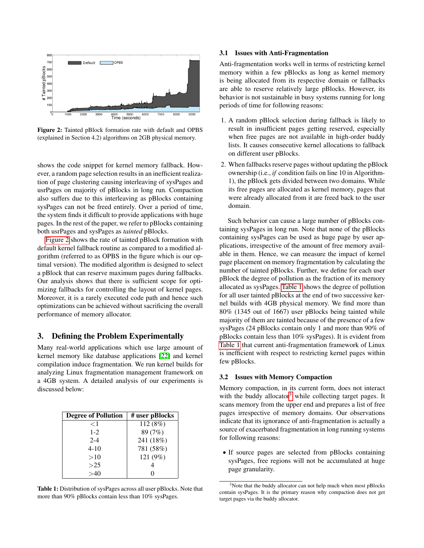<span id="page-2-0"></span>

Figure 2: Tainted pBlock formation rate with default and OPBS (explained in Section 4.2) algorithms on 2GB physical memory.

shows the code snippet for kernel memory fallback. However, a random page selection results in an inefficient realization of page clustering causing interleaving of sysPages and usrPages on majority of pBlocks in long run. Compaction also suffers due to this interleaving as pBlocks containing sysPages can not be freed entirely. Over a period of time, the system finds it difficult to provide applications with huge pages. In the rest of the paper, we refer to pBlocks containing both usrPages and sysPages as *tainted* pBlocks.

[Figure 2](#page-2-0) shows the rate of tainted pBlock formation with default kernel fallback routine as compared to a modified algorithm (referred to as OPBS in the figure which is our optimal version). The modified algorithm is designed to select a pBlock that can reserve maximum pages during fallbacks. Our analysis shows that there is sufficient scope for optimizing fallbacks for controlling the layout of kernel pages. Moreover, it is a rarely executed code path and hence such optimizations can be achieved without sacrificing the overall performance of memory allocator.

## 3. Defining the Problem Experimentally

Many real-world applications which use large amount of kernel memory like database applications [\[22\]](#page-7-0) and kernel compilation induce fragmentation. We run kernel builds for analyzing Linux fragmentation management framework on a 4GB system. A detailed analysis of our experiments is discussed below:

<span id="page-2-1"></span>

| <b>Degree of Pollution</b> | # user pBlocks |  |  |
|----------------------------|----------------|--|--|
| $<$ 1                      | 112 (8%)       |  |  |
| $1 - 2$                    | 89 (7%)        |  |  |
| $2 - 4$                    | 241 (18%)      |  |  |
| $4 - 10$                   | 781 (58%)      |  |  |
| >10                        | 121 (9%)       |  |  |
| >25                        |                |  |  |
|                            |                |  |  |

Table 1: Distribution of sysPages across all user pBlocks. Note that more than 90% pBlocks contain less than 10% sysPages.

#### 3.1 Issues with Anti-Fragmentation

Anti-fragmentation works well in terms of restricting kernel memory within a few pBlocks as long as kernel memory is being allocated from its respective domain or fallbacks are able to reserve relatively large pBlocks. However, its behavior is not sustainable in busy systems running for long periods of time for following reasons:

- 1. A random pBlock selection during fallback is likely to result in insufficient pages getting reserved, especially when free pages are not available in high-order buddy lists. It causes consecutive kernel allocations to fallback on different user pBlocks.
- 2. When fallbacks reserve pages without updating the pBlock ownership (i.e., *if* condition fails on line 10 in Algorithm-1), the pBlock gets divided between two domains. While its free pages are allocated as kernel memory, pages that were already allocated from it are freed back to the user domain.

Such behavior can cause a large number of pBlocks containing sysPages in long run. Note that none of the pBlocks containing sysPages can be used as huge page by user applications, irrespective of the amount of free memory available in them. Hence, we can measure the impact of kernel page placement on memory fragmentation by calculating the number of tainted pBlocks. Further, we define for each user pBlock the degree of pollution as the fraction of its memory allocated as sysPages. [Table 1](#page-2-1) shows the degree of pollution for all user tainted pBlocks at the end of two successive kernel builds with 4GB physical memory. We find more than 80% (1345 out of 1667) user pBlocks being tainted while majority of them are tainted because of the presence of a few sysPages (24 pBlocks contain only 1 and more than 90% of pBlocks contain less than 10% sysPages). It is evident from [Table 1](#page-2-1) that current anti-fragmentation framework of Linux is inefficient with respect to restricting kernel pages within few pBlocks.

#### 3.2 Issues with Memory Compaction

Memory compaction, in its current form, does not interact with the buddy allocator<sup>[3](#page-0-0)</sup> while collecting target pages. It scans memory from the upper end and prepares a list of free pages irrespective of memory domains. Our observations indicate that its ignorance of anti-fragmentation is actually a source of exacerbated fragmentation in long running systems for following reasons:

• If source pages are selected from pBlocks containing sysPages, free regions will not be accumulated at huge page granularity.

<sup>&</sup>lt;sup>3</sup>Note that the buddy allocator can not help much when most pBlocks contain sysPages. It is the primary reason why compaction does not get target pages via the buddy allocator.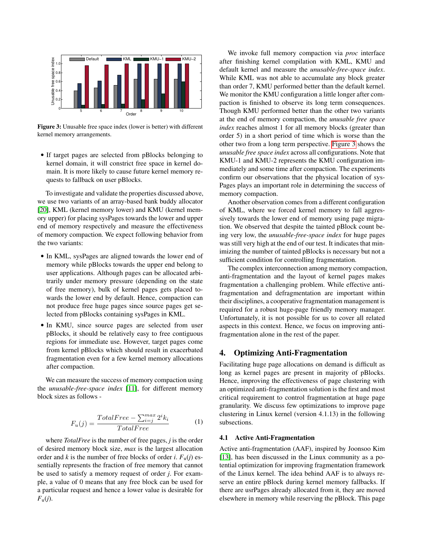<span id="page-3-0"></span>

Figure 3: Unusable free space index (lower is better) with different kernel memory arrangements.

• If target pages are selected from pBlocks belonging to kernel domain, it will constrict free space in kernel domain. It is more likely to cause future kernel memory requests to fallback on user pBlocks.

To investigate and validate the properties discussed above, we use two variants of an array-based bank buddy allocator [\[20\]](#page-7-1), KML (kernel memory lower) and KMU (kernel memory upper) for placing sysPages towards the lower and upper end of memory respectively and measure the effectiveness of memory compaction. We expect following behavior from the two variants:

- In KML, sysPages are aligned towards the lower end of memory while pBlocks towards the upper end belong to user applications. Although pages can be allocated arbitrarily under memory pressure (depending on the state of free memory), bulk of kernel pages gets placed towards the lower end by default. Hence, compaction can not produce free huge pages since source pages get selected from pBlocks containing sysPages in KML.
- In KMU, since source pages are selected from user pBlocks, it should be relatively easy to free contiguous regions for immediate use. However, target pages come from kernel pBlocks which should result in exacerbated fragmentation even for a few kernel memory allocations after compaction.

We can measure the success of memory compaction using the *unusable-free-space index* [\[11\]](#page-6-8), for different memory block sizes as follows -

$$
F_u(j) = \frac{TotalFree - \sum_{i=j}^{max} 2^i k_i}{TotalFree}
$$
 (1)

where *TotalFree* is the number of free pages, *j* is the order of desired memory block size, *max* is the largest allocation order and *k* is the number of free blocks of order *i*.  $F_u(j)$  essentially represents the fraction of free memory that cannot be used to satisfy a memory request of order *j*. For example, a value of 0 means that any free block can be used for a particular request and hence a lower value is desirable for  $F_{\rm u}(j)$ .

We invoke full memory compaction via *proc* interface after finishing kernel compilation with KML, KMU and default kernel and measure the *unusable-free-space index*. While KML was not able to accumulate any block greater than order 7, KMU performed better than the default kernel. We monitor the KMU configuration a little longer after compaction is finished to observe its long term consequences. Though KMU performed better than the other two variants at the end of memory compaction, the *unusable free space index* reaches almost 1 for all memory blocks (greater than order 5) in a short period of time which is worse than the other two from a long term perspective. [Figure 3](#page-3-0) shows the *unusable free space index* across all configurations. Note that KMU-1 and KMU-2 represents the KMU configuration immediately and some time after compaction. The experiments confirm our observations that the physical location of sys-Pages plays an important role in determining the success of memory compaction.

Another observation comes from a different configuration of KML, where we forced kernel memory to fall aggressively towards the lower end of memory using page migration. We observed that despite the tainted pBlock count being very low, the *unusable-free-space index* for huge pages was still very high at the end of our test. It indicates that minimizing the number of tainted pBlocks is necessary but not a sufficient condition for controlling fragmentation.

The complex interconnection among memory compaction, anti-fragmentation and the layout of kernel pages makes fragmentation a challenging problem. While effective antifragmentation and defragmentation are important within their disciplines, a cooperative fragmentation management is required for a robust huge-page friendly memory manager. Unfortunately, it is not possible for us to cover all related aspects in this context. Hence, we focus on improving antifragmentation alone in the rest of the paper.

## 4. Optimizing Anti-Fragmentation

Facilitating huge page allocations on demand is difficult as long as kernel pages are present in majority of pBlocks. Hence, improving the effectiveness of page clustering with an optimized anti-fragmentation solution is the first and most critical requirement to control fragmentation at huge page granularity. We discuss few optimizations to improve page clustering in Linux kernel (version 4.1.13) in the following subsections.

#### 4.1 Active Anti-Fragmentation

Active anti-fragmentation (AAF), inspired by Joonsoo Kim [\[13\]](#page-6-9), has been discussed in the Linux community as a potential optimization for improving fragmentation framework of the Linux kernel. The idea behind AAF is to always reserve an entire pBlock during kernel memory fallbacks. If there are usrPages already allocated from it, they are moved elsewhere in memory while reserving the pBlock. This page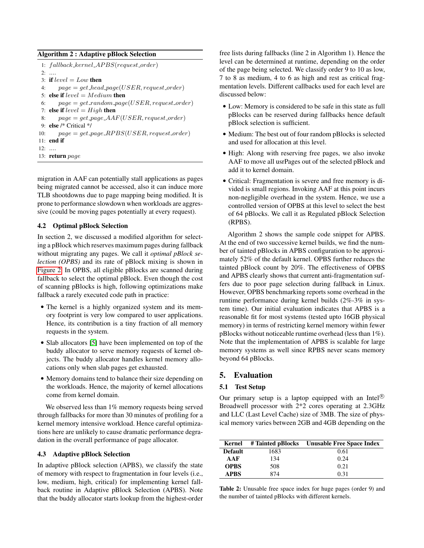#### Algorithm 2 : Adaptive pBlock Selection

|              | 1: $fallback\_kernel\_APBS(request\_order)$      |
|--------------|--------------------------------------------------|
|              | $2:$                                             |
|              | 3: if $level = Low$ then                         |
| 4:           | $page = get\_head\_page(USER, request\_order)$   |
|              | 5: else if $level = Medium$ then                 |
| 6:           | $page = get\_random\_page(USER, request\_order)$ |
|              | 7: else if $level = High$ then                   |
| 8:           | $page = get\_page\_AAF(USER, request\_order)$    |
|              | 9. else /* Critical */                           |
| 10:          | $page = get\_page\_RPBS(USER, request\_order)$   |
|              | $11$ end if                                      |
| $12: \ldots$ |                                                  |
|              | 13: return $page$                                |

migration in AAF can potentially stall applications as pages being migrated cannot be accessed, also it can induce more TLB shootdowns due to page mapping being modified. It is prone to performance slowdown when workloads are aggressive (could be moving pages potentially at every request).

#### 4.2 Optimal pBlock Selection

In section 2, we discussed a modified algorithm for selecting a pBlock which reserves maximum pages during fallback without migrating any pages. We call it *optimal pBlock selection (OPBS)* and its rate of pBlock mixing is shown in [Figure 2.](#page-2-0) In OPBS, all eligible pBlocks are scanned during fallback to select the optimal pBlock. Even though the cost of scanning pBlocks is high, following optimizations make fallback a rarely executed code path in practice:

- The kernel is a highly organized system and its memory footprint is very low compared to user applications. Hence, its contribution is a tiny fraction of all memory requests in the system.
- Slab allocators [\[5\]](#page-6-10) have been implemented on top of the buddy allocator to serve memory requests of kernel objects. The buddy allocator handles kernel memory allocations only when slab pages get exhausted.
- Memory domains tend to balance their size depending on the workloads. Hence, the majority of kernel allocations come from kernel domain.

We observed less than 1% memory requests being served through fallbacks for more than 30 minutes of profiling for a kernel memory intensive workload. Hence careful optimizations here are unlikely to cause dramatic performance degradation in the overall performance of page allocator.

#### 4.3 Adaptive pBlock Selection

In adaptive pBlock selection (APBS), we classify the state of memory with respect to fragmentation in four levels (i.e., low, medium, high, critical) for implementing kernel fallback routine in Adaptive pBlock Selection (APBS). Note that the buddy allocator starts lookup from the highest-order free lists during fallbacks (line 2 in Algorithm 1). Hence the level can be determined at runtime, depending on the order of the page being selected. We classify order 9 to 10 as low, 7 to 8 as medium, 4 to 6 as high and rest as critical fragmentation levels. Different callbacks used for each level are discussed below:

- Low: Memory is considered to be safe in this state as full pBlocks can be reserved during fallbacks hence default pBlock selection is sufficient.
- Medium: The best out of four random pBlocks is selected and used for allocation at this level.
- High: Along with reserving free pages, we also invoke AAF to move all usrPages out of the selected pBlock and add it to kernel domain.
- Critical: Fragmentation is severe and free memory is divided is small regions. Invoking AAF at this point incurs non-negligible overhead in the system. Hence, we use a controlled version of OPBS at this level to select the best of 64 pBlocks. We call it as Regulated pBlock Selection (RPBS).

Algorithm 2 shows the sample code snippet for APBS. At the end of two successive kernel builds, we find the number of tainted pBlocks in APBS configuration to be approximately 52% of the default kernel. OPBS further reduces the tainted pBlock count by 20%. The effectiveness of OPBS and APBS clearly shows that current anti-fragmentation suffers due to poor page selection during fallback in Linux. However, OPBS benchmarking reports some overhead in the runtime performance during kernel builds (2%-3% in system time). Our initial evaluation indicates that APBS is a reasonable fit for most systems (tested upto 16GB physical memory) in terms of restricting kernel memory within fewer pBlocks without noticeable runtime overhead (less than 1%). Note that the implementation of APBS is scalable for large memory systems as well since RPBS never scans memory beyond 64 pBlocks.

#### 5. Evaluation

#### 5.1 Test Setup

Our primary setup is a laptop equipped with an Intel<sup>( $\&$ )</sup> Broadwell processor with 2\*2 cores operating at 2.3GHz and LLC (Last Level Cache) size of 3MB. The size of physical memory varies between 2GB and 4GB depending on the

<span id="page-4-0"></span>

|                |      | Kernel # Tainted pBlocks Unusable Free Space Index |
|----------------|------|----------------------------------------------------|
| <b>Default</b> | 1683 | 0.61                                               |
| AAF            | 134  | 0.24                                               |
| <b>OPBS</b>    | 508  | 0.21                                               |
| <b>APBS</b>    | 874  | 0.31                                               |

Table 2: Unusable free space index for huge pages (order 9) and the number of tainted pBlocks with different kernels.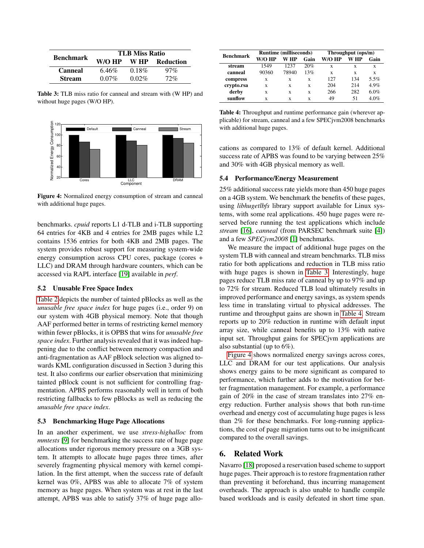<span id="page-5-0"></span>

| <b>Benchmark</b> | <b>TLB Miss Ratio</b> |          |           |  |
|------------------|-----------------------|----------|-----------|--|
|                  | W/O HP                | W HP     | Reduction |  |
| Canneal          | 6.46%                 | $0.18\%$ | $97\%$    |  |
| <b>Stream</b>    | $0.07\%$              | $0.02\%$ | 72%       |  |

Table 3: TLB miss ratio for canneal and stream with (W HP) and without huge pages (W/O HP).

<span id="page-5-2"></span>

Figure 4: Normalized energy consumption of stream and canneal with additional huge pages.

benchmarks. *cpuid* reports L1 d-TLB and i-TLB supporting 64 entries for 4KB and 4 entries for 2MB pages while L2 contains 1536 entries for both 4KB and 2MB pages. The system provides robust support for measuring system-wide energy consumption across CPU cores, package (cores + LLC) and DRAM through hardware counters, which can be accessed via RAPL interface [\[19\]](#page-7-2) available in *perf*.

#### 5.2 Unusable Free Space Index

[Table 2](#page-4-0) depicts the number of tainted pBlocks as well as the *unusable free space index* for huge pages (i.e., order 9) on our system with 4GB physical memory. Note that though AAF performed better in terms of restricting kernel memory within fewer pBlocks, it is OPBS that wins for *unusable free space index*. Further analysis revealed that it was indeed happening due to the conflict between memory compaction and anti-fragmentation as AAF pBlock selection was aligned towards KML configuration discussed in Section 3 during this test. It also confirms our earlier observation that minimizing tainted pBlock count is not sufficient for controlling fragmentation. APBS performs reasonably well in term of both restricting fallbacks to few pBlocks as well as reducing the *unusable free space index*.

#### 5.3 Benchmarking Huge Page Allocations

In an another experiment, we use *stress-highalloc* from *mmtests* [\[9\]](#page-6-11) for benchmarking the success rate of huge page allocations under rigorous memory pressure on a 3GB system. It attempts to allocate huge pages three times, after severely fragmenting physical memory with kernel compilation. In the first attempt, when the success rate of default kernel was 0%, APBS was able to allocate 7% of system memory as huge pages. When system was at rest in the last attempt, APBS was able to satisfy 37% of huge page allo-

<span id="page-5-1"></span>

| <b>Benchmark</b> | <b>Runtime (milliseconds)</b> |       | Throughput (ops/m) |        |      |      |
|------------------|-------------------------------|-------|--------------------|--------|------|------|
|                  | W/O HP                        | W HP  | Gain               | W/O HP | W HP | Gain |
| stream           | 1549                          | 1237  | 20%                | x      | x    | X    |
| canneal          | 90360                         | 78940 | 13%                | X      | X    | X    |
| compress         | x                             | X     | X                  | 127    | 134  | 5.5% |
| crypto.rsa       | X                             | X     | X                  | 204    | 214  | 4.9% |
| derby            | X                             | X     | X                  | 266    | 282  | 6.0% |
| sunflow          | X                             | X     | X                  | 49     | 51   | 4.0% |

Table 4: Throughput and runtime performance gain (wherever applicable) for stream, canneal and a few SPECjvm2008 benchmarks with additional huge pages.

cations as compared to 13% of default kernel. Additional success rate of APBS was found to be varying between 25% and 30% with 4GB physical memory as well.

#### 5.4 Performance/Energy Measurement

25% additional success rate yields more than 450 huge pages on a 4GB system. We benchmark the benefits of these pages, using *libhugetlbfs* library support available for Linux systems, with some real applications. 450 huge pages were reserved before running the test applications which include *stream* [\[16\]](#page-6-12), *canneal* (from PARSEC benchmark suite [\[4\]](#page-6-13)) and a few *SPECjvm2008* [\[1\]](#page-6-14) benchmarks.

We measure the impact of additional huge pages on the system TLB with canneal and stream benchmarks. TLB miss ratio for both applications and reduction in TLB miss ratio with huge pages is shown in [Table 3.](#page-5-0) Interestingly, huge pages reduce TLB miss rate of canneal by up to 97% and up to 72% for stream. Reduced TLB load ultimately results in improved performance and energy savings, as system spends less time in translating virtual to physical addresses. The runtime and throughput gains are shown in [Table 4.](#page-5-1) Stream reports up to 20% reduction in runtime with default input array size, while canneal benefits up to 13% with native input set. Throughput gains for SPECjvm applications are also substantial (up to 6%).

[Figure 4](#page-5-2) shows normalized energy savings across cores, LLC and DRAM for our test applications. Our analysis shows energy gains to be more significant as compared to performance, which further adds to the motivation for better fragmentation management. For example, a performance gain of 20% in the case of stream translates into 27% energy reduction. Further analysis shows that both run-time overhead and energy cost of accumulating huge pages is less than 2% for these benchmarks. For long-running applications, the cost of page migration turns out to be insignificant compared to the overall savings.

#### 6. Related Work

Navarro [\[18\]](#page-6-0) proposed a reservation based scheme to support huge pages. Their approach is to restore fragmentation rather than preventing it beforehand, thus incurring management overheads. The approach is also unable to handle compile based workloads and is easily defeated in short time span.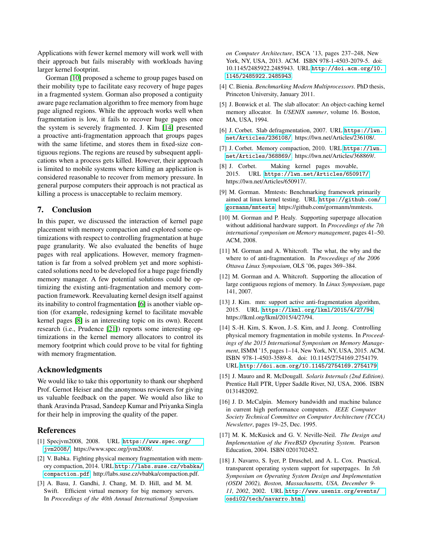Applications with fewer kernel memory will work well with their approach but fails miserably with workloads having larger kernel footprint.

Gorman [\[10\]](#page-6-15) proposed a scheme to group pages based on their mobility type to facilitate easy recovery of huge pages in a fragmented system. Gorman also proposed a contiguity aware page reclamation algorithm to free memory from huge page aligned regions. While the approach works well when fragmentation is low, it fails to recover huge pages once the system is severely fragmented. J. Kim [\[14\]](#page-6-2) presented a proactive anti-fragmentation approach that groups pages with the same lifetime, and stores them in fixed-size contiguous regions. The regions are reused by subsequent applications when a process gets killed. However, their approach is limited to mobile systems where killing an application is considered reasonable to recover from memory pressure. In general purpose computers their approach is not practical as killing a process is unacceptable to reclaim memory.

# 7. Conclusion

In this paper, we discussed the interaction of kernel page placement with memory compaction and explored some optimizations with respect to controlling fragmentation at huge page granularity. We also evaluated the benefits of huge pages with real applications. However, memory fragmentation is far from a solved problem yet and more sophisticated solutions need to be developed for a huge page friendly memory manager. A few potential solutions could be optimizing the existing anti-fragmentation and memory compaction framework. Reevaluating kernel design itself against its inability to control fragmentation [\[6\]](#page-6-16) is another viable option (for example, redesigning kernel to facilitate movable kernel pages [\[8\]](#page-6-17) is an interesting topic on its own). Recent research (i.e., Prudence [\[21\]](#page-7-3)) reports some interesting optimizations in the kernel memory allocators to control its memory footprint which could prove to be vital for fighting with memory fragmentation.

## Acknowledgments

We would like to take this opportunity to thank our shepherd Prof. Gernot Heiser and the anonymous reviewers for giving us valuable feedback on the paper. We would also like to thank Aravinda Prasad, Sandeep Kumar and Priyanka Singla for their help in improving the quality of the paper.

## References

- <span id="page-6-14"></span>[1] Specjvm2008, 2008. URL [https://www.spec.org/](https://www.spec.org/jvm2008/) [jvm2008/](https://www.spec.org/jvm2008/). https://www.spec.org/jvm2008/.
- <span id="page-6-4"></span>[2] V. Babka. Fighting physical memory fragmentation with memory compaction, 2014. URL [http://labs.suse.cz/vbabka/](http://labs.suse.cz/vbabka/compaction.pdf) [compaction.pdf](http://labs.suse.cz/vbabka/compaction.pdf). http://labs.suse.cz/vbabka/compaction.pdf.
- <span id="page-6-1"></span>[3] A. Basu, J. Gandhi, J. Chang, M. D. Hill, and M. M. Swift. Efficient virtual memory for big memory servers. In *Proceedings of the 40th Annual International Symposium*

*on Computer Architecture*, ISCA '13, pages 237–248, New York, NY, USA, 2013. ACM. ISBN 978-1-4503-2079-5. doi: 10.1145/2485922.2485943. URL [http://doi.acm.org/10.](http://doi.acm.org/10.1145/2485922.2485943) [1145/2485922.2485943](http://doi.acm.org/10.1145/2485922.2485943).

- <span id="page-6-13"></span>[4] C. Bienia. *Benchmarking Modern Multiprocessors*. PhD thesis, Princeton University, January 2011.
- <span id="page-6-10"></span>[5] J. Bonwick et al. The slab allocator: An object-caching kernel memory allocator. In *USENIX summer*, volume 16. Boston, MA, USA, 1994.
- <span id="page-6-16"></span>[6] J. Corbet. Slab defragmentation, 2007. URL [https://lwn.](https://lwn.net/Articles/236108/) [net/Articles/236108/](https://lwn.net/Articles/236108/). https://lwn.net/Articles/236108/.
- <span id="page-6-5"></span>[7] J. Corbet. Memory compaction, 2010. URL [https://lwn.](https://lwn.net/Articles/368869/) [net/Articles/368869/](https://lwn.net/Articles/368869/). https://lwn.net/Articles/368869/.
- <span id="page-6-17"></span>[8] J. Corbet. Making kernel pages movable, 2015. URL <https://lwn.net/Articles/650917/>. https://lwn.net/Articles/650917/.
- <span id="page-6-11"></span>[9] M. Gorman. Mmtests: Benchmarking framework primarily aimed at linux kernel testing. URL [https://github.com/](https://github.com/gormanm/mmtests) [gormanm/mmtests](https://github.com/gormanm/mmtests). https://github.com/gormanm/mmtests.
- <span id="page-6-15"></span>[10] M. Gorman and P. Healy. Supporting superpage allocation without additional hardware support. In *Proceedings of the 7th international symposium on Memory management*, pages 41–50. ACM, 2008.
- <span id="page-6-8"></span>[11] M. Gorman and A. Whitcroft. The what, the why and the where to of anti-fragmentation. In *Proceedings of the 2006 Ottawa Linux Symposium*, OLS '06, pages 369–384.
- <span id="page-6-3"></span>[12] M. Gorman and A. Whitcroft. Supporting the allocation of large contiguous regions of memory. In *Linux Symposium*, page 141, 2007.
- <span id="page-6-9"></span>[13] J. Kim. mm: support active anti-fragmentation algorithm, 2015. URL <https://lkml.org/lkml/2015/4/27/94>. https://lkml.org/lkml/2015/4/27/94.
- <span id="page-6-2"></span>[14] S.-H. Kim, S. Kwon, J.-S. Kim, and J. Jeong. Controlling physical memory fragmentation in mobile systems. In *Proceedings of the 2015 International Symposium on Memory Management*, ISMM '15, pages 1–14, New York, NY, USA, 2015. ACM. ISBN 978-1-4503-3589-8. doi: 10.1145/2754169.2754179. URL <http://doi.acm.org/10.1145/2754169.2754179>.
- <span id="page-6-6"></span>[15] J. Mauro and R. McDougall. *Solaris Internals (2nd Edition)*. Prentice Hall PTR, Upper Saddle River, NJ, USA, 2006. ISBN 0131482092.
- <span id="page-6-12"></span>[16] J. D. McCalpin. Memory bandwidth and machine balance in current high performance computers. *IEEE Computer Society Technical Committee on Computer Architecture (TCCA) Newsletter*, pages 19–25, Dec. 1995.
- <span id="page-6-7"></span>[17] M. K. McKusick and G. V. Neville-Neil. *The Design and Implementation of the FreeBSD Operating System*. Pearson Education, 2004. ISBN 0201702452.
- <span id="page-6-0"></span>[18] J. Navarro, S. Iyer, P. Druschel, and A. L. Cox. Practical, transparent operating system support for superpages. In *5th Symposium on Operating System Design and Implementation (OSDI 2002), Boston, Massachusetts, USA, December 9- 11, 2002*, 2002. URL [http://www.usenix.org/events/](http://www.usenix.org/events/osdi02/tech/navarro.html) [osdi02/tech/navarro.html](http://www.usenix.org/events/osdi02/tech/navarro.html).